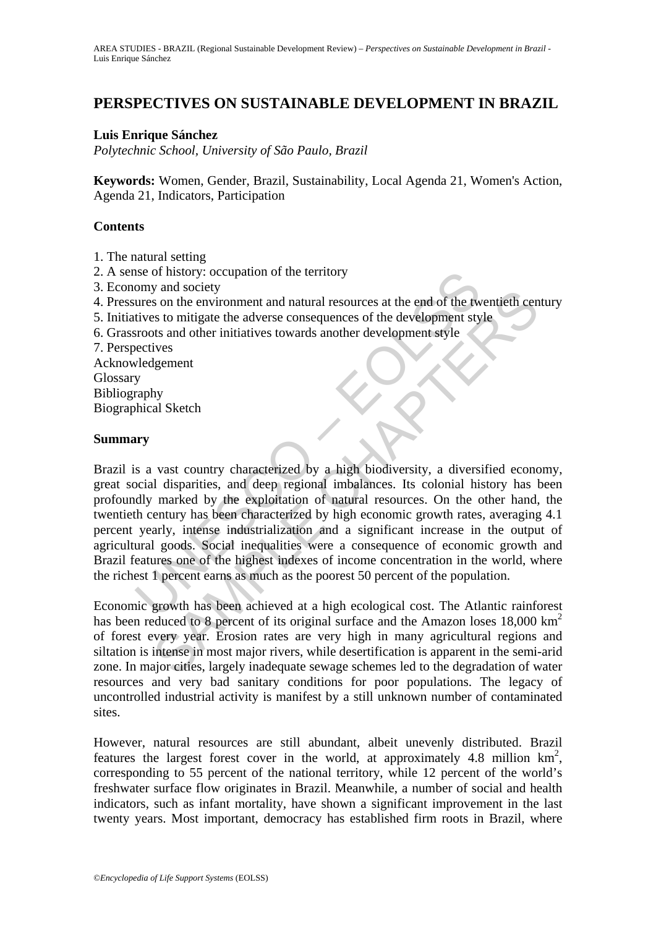# **PERSPECTIVES ON SUSTAINABLE DEVELOPMENT IN BRAZIL**

### **Luis Enrique Sánchez**

*Polytechnic School, University of São Paulo, Brazil* 

**Keywords:** Women, Gender, Brazil, Sustainability, Local Agenda 21, Women's Action, Agenda 21, Indicators, Participation

### **Contents**

- 1. The natural setting
- 2. A sense of history: occupation of the territory
- 3. Economy and society
- 4. Pressures on the environment and natural resources at the end of the twentieth century
- 5. Initiatives to mitigate the adverse consequences of the development style
- 6. Grassroots and other initiatives towards another development style
- 7. Perspectives

Acknowledgement Glossary Bibliography Biographical Sketch

#### **Summary**

Solved the territory<br>
or and society<br>
or and society<br>
ures on the environment and natural resources at the end of the tw<br>
ures on the environment and natural resources of the development style<br>
ures to mitigate the adverse y and society<br>so the environment and natural resources at the end of the twentieth cen<br>s to mitigate the adverse consequences of the development style<br>ives<br>s and other initiatives towards another development style<br>its and Brazil is a vast country characterized by a high biodiversity, a diversified economy, great social disparities, and deep regional imbalances. Its colonial history has been profoundly marked by the exploitation of natural resources. On the other hand, the twentieth century has been characterized by high economic growth rates, averaging 4.1 percent yearly, intense industrialization and a significant increase in the output of agricultural goods. Social inequalities were a consequence of economic growth and Brazil features one of the highest indexes of income concentration in the world, where the richest 1 percent earns as much as the poorest 50 percent of the population.

Economic growth has been achieved at a high ecological cost. The Atlantic rainforest has been reduced to 8 percent of its original surface and the Amazon loses 18,000 km<sup>2</sup> of forest every year. Erosion rates are very high in many agricultural regions and siltation is intense in most major rivers, while desertification is apparent in the semi-arid zone. In major cities, largely inadequate sewage schemes led to the degradation of water resources and very bad sanitary conditions for poor populations. The legacy of uncontrolled industrial activity is manifest by a still unknown number of contaminated sites.

However, natural resources are still abundant, albeit unevenly distributed. Brazil features the largest forest cover in the world, at approximately 4.8 million  $km^2$ , corresponding to 55 percent of the national territory, while 12 percent of the world's freshwater surface flow originates in Brazil. Meanwhile, a number of social and health indicators, such as infant mortality, have shown a significant improvement in the last twenty years. Most important, democracy has established firm roots in Brazil, where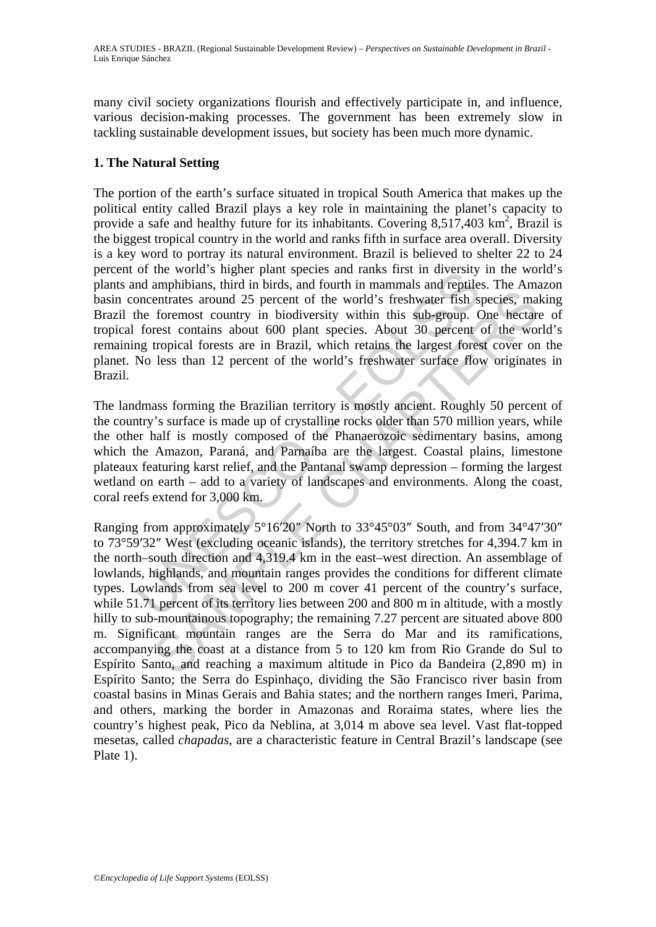many civil society organizations flourish and effectively participate in, and influence, various decision-making processes. The government has been extremely slow in tackling sustainable development issues, but society has been much more dynamic.

# **1. The Natural Setting**

or the wordt is inglere piatri species and ranks inst in diversity<br>or diamphibians, third in birds, and fourth in mammals and reptile<br>oncentrates around 25 percent of the world's freshwater fish sign-<br>oncentrates around 25 The portion of the earth's surface situated in tropical South America that makes up the political entity called Brazil plays a key role in maintaining the planet's capacity to provide a safe and healthy future for its inhabitants. Covering  $8,517,403$  km<sup>2</sup>, Brazil is the biggest tropical country in the world and ranks fifth in surface area overall. Diversity is a key word to portray its natural environment. Brazil is believed to shelter 22 to 24 percent of the world's higher plant species and ranks first in diversity in the world's plants and amphibians, third in birds, and fourth in mammals and reptiles. The Amazon basin concentrates around 25 percent of the world's freshwater fish species, making Brazil the foremost country in biodiversity within this sub-group. One hectare of tropical forest contains about 600 plant species. About 30 percent of the world's remaining tropical forests are in Brazil, which retains the largest forest cover on the planet. No less than 12 percent of the world's freshwater surface flow originates in Brazil.

The landmass forming the Brazilian territory is mostly ancient. Roughly 50 percent of the country's surface is made up of crystalline rocks older than 570 million years, while the other half is mostly composed of the Phanaerozoic sedimentary basins, among which the Amazon, Paraná, and Parnaíba are the largest. Coastal plains, limestone plateaux featuring karst relief, and the Pantanal swamp depression – forming the largest wetland on earth – add to a variety of landscapes and environments. Along the coast, coral reefs extend for 3,000 km.

armountates around 25 percent of the world's freshwater fish species, malentrates around 25 percent of the world's freshwater fish species, mal<br>foremost country in biodiversity within this sub-group. One hectare<br>tropical f Ranging from approximately 5°16′20″ North to 33°45°03″ South, and from 34°47′30″ to 73°59′32″ West (excluding oceanic islands), the territory stretches for 4,394.7 km in the north–south direction and 4,319.4 km in the east–west direction. An assemblage of lowlands, highlands, and mountain ranges provides the conditions for different climate types. Lowlands from sea level to 200 m cover 41 percent of the country's surface, while 51.71 percent of its territory lies between 200 and 800 m in altitude, with a mostly hilly to sub-mountainous topography; the remaining 7.27 percent are situated above 800 m. Significant mountain ranges are the Serra do Mar and its ramifications, accompanying the coast at a distance from 5 to 120 km from Rio Grande do Sul to Espírito Santo, and reaching a maximum altitude in Pico da Bandeira (2,890 m) in Espírito Santo; the Serra do Espinhaço, dividing the São Francisco river basin from coastal basins in Minas Gerais and Bahia states; and the northern ranges Imeri, Parima, and others, marking the border in Amazonas and Roraima states, where lies the country's highest peak, Pico da Neblina, at 3,014 m above sea level. Vast flat-topped mesetas, called *chapadas*, are a characteristic feature in Central Brazil's landscape (see Plate 1).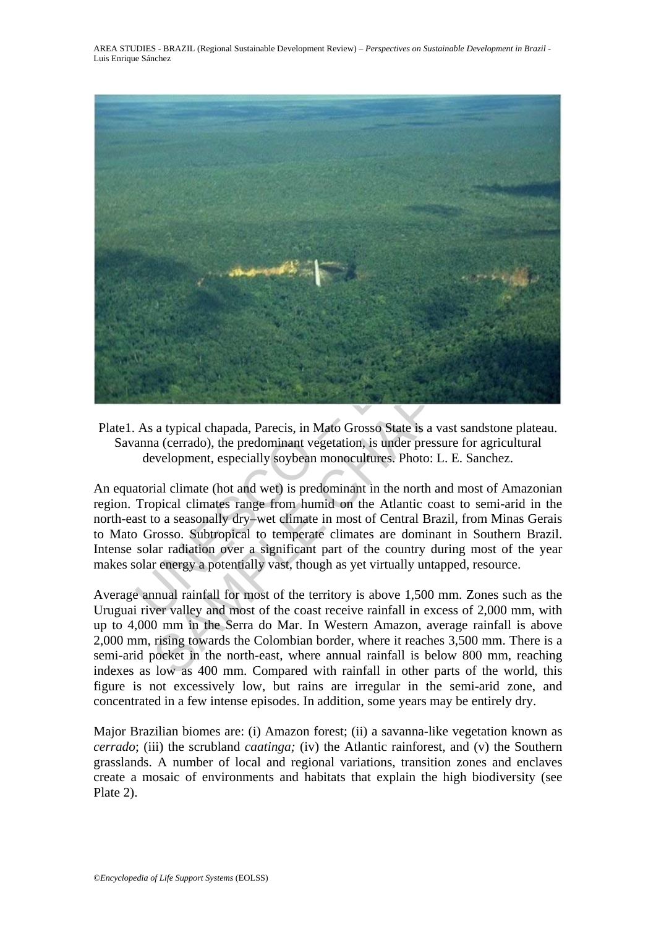

Plate1. As a typical chapada, Parecis, in Mato Grosso State is a vast sandstone plateau. Savanna (cerrado), the predominant vegetation, is under pressure for agricultural development, especially soybean monocultures. Photo: L. E. Sanchez.

An equatorial climate (hot and wet) is predominant in the north and most of Amazonian region. Tropical climates range from humid on the Atlantic coast to semi-arid in the north-east to a seasonally dry–wet climate in most of Central Brazil, from Minas Gerais to Mato Grosso. Subtropical to temperate climates are dominant in Southern Brazil. Intense solar radiation over a significant part of the country during most of the year makes solar energy a potentially vast, though as yet virtually untapped, resource.

Average annual rainfall for most of the territory is above 1,500 mm. Zones such as the Uruguai river valley and most of the coast receive rainfall in excess of 2,000 mm, with up to 4,000 mm in the Serra do Mar. In Western Amazon, average rainfall is above 2,000 mm, rising towards the Colombian border, where it reaches 3,500 mm. There is a semi-arid pocket in the north-east, where annual rainfall is below 800 mm, reaching indexes as low as 400 mm. Compared with rainfall in other parts of the world, this figure is not excessively low, but rains are irregular in the semi-arid zone, and concentrated in a few intense episodes. In addition, some years may be entirely dry.

Major Brazilian biomes are: (i) Amazon forest; (ii) a savanna-like vegetation known as *cerrado*; (iii) the scrubland *caatinga;* (iv) the Atlantic rainforest, and (v) the Southern grasslands. A number of local and regional variations, transition zones and enclaves create a mosaic of environments and habitats that explain the high biodiversity (see Plate 2).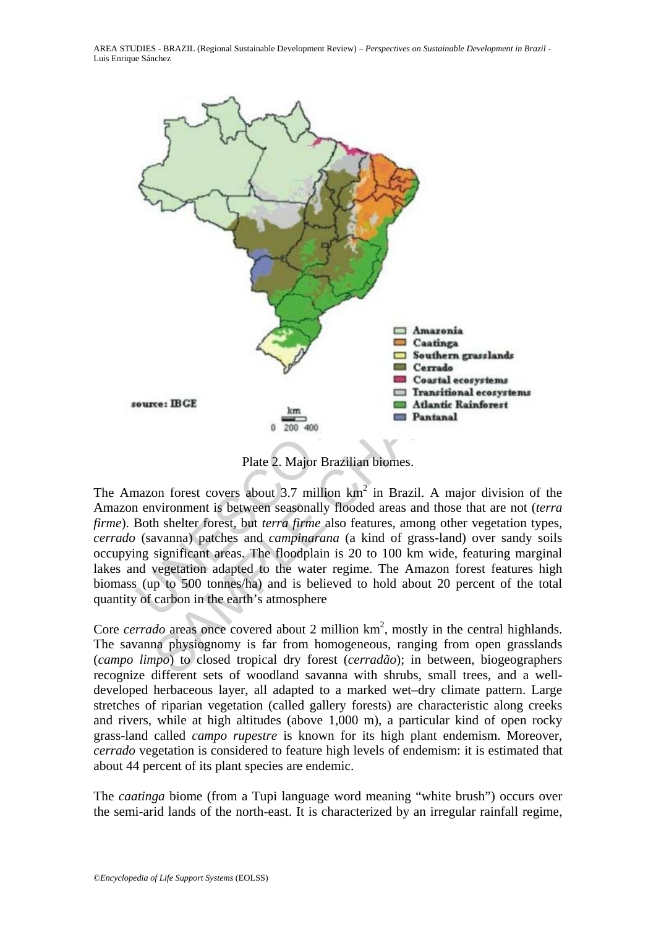

Plate 2. Major Brazilian biomes.

The Amazon forest covers about 3.7 million  $km^2$  in Brazil. A major division of the Amazon environment is between seasonally flooded areas and those that are not (*terra firme*). Both shelter forest, but *terra firme* also features, among other vegetation types, *cerrado* (savanna) patches and *campinarana* (a kind of grass-land) over sandy soils occupying significant areas. The floodplain is 20 to 100 km wide, featuring marginal lakes and vegetation adapted to the water regime. The Amazon forest features high biomass (up to 500 tonnes/ha) and is believed to hold about 20 percent of the total quantity of carbon in the earth's atmosphere

Core *cerrado* areas once covered about 2 million km<sup>2</sup>, mostly in the central highlands. The savanna physiognomy is far from homogeneous, ranging from open grasslands (*campo limpo*) to closed tropical dry forest (*cerradão*); in between, biogeographers recognize different sets of woodland savanna with shrubs, small trees, and a welldeveloped herbaceous layer, all adapted to a marked wet–dry climate pattern. Large stretches of riparian vegetation (called gallery forests) are characteristic along creeks and rivers, while at high altitudes (above 1,000 m), a particular kind of open rocky grass-land called *campo rupestre* is known for its high plant endemism. Moreover*, cerrado* vegetation is considered to feature high levels of endemism: it is estimated that about 44 percent of its plant species are endemic.

The *caatinga* biome (from a Tupi language word meaning "white brush") occurs over the semi-arid lands of the north-east. It is characterized by an irregular rainfall regime,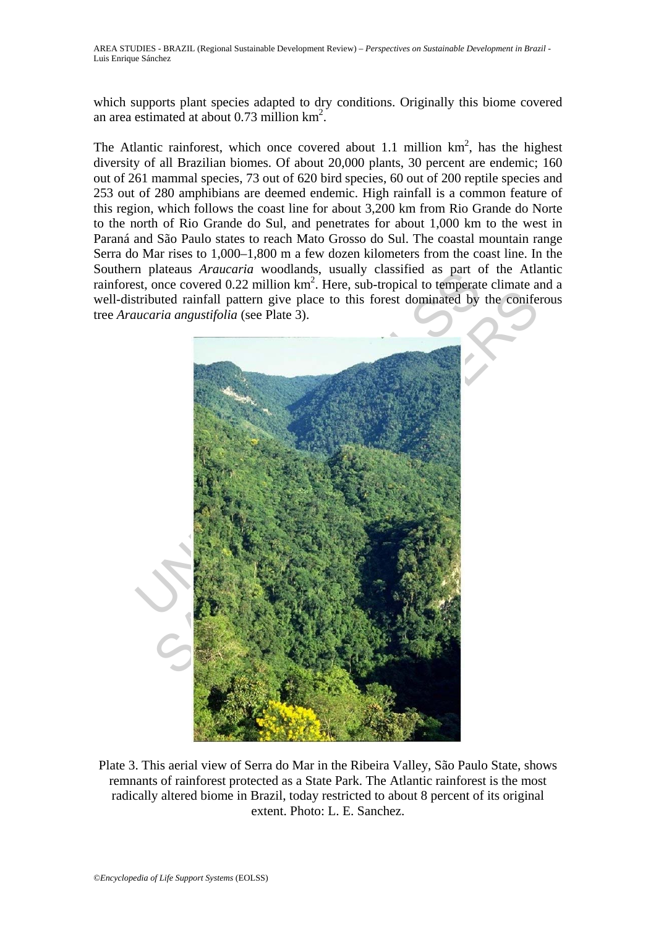which supports plant species adapted to dry conditions. Originally this biome covered an area estimated at about 0.73 million km2 .

The Atlantic rainforest, which once covered about 1.1 million  $km^2$ , has the highest diversity of all Brazilian biomes. Of about 20,000 plants, 30 percent are endemic; 160 out of 261 mammal species, 73 out of 620 bird species, 60 out of 200 reptile species and 253 out of 280 amphibians are deemed endemic. High rainfall is a common feature of this region, which follows the coast line for about 3,200 km from Rio Grande do Norte to the north of Rio Grande do Sul, and penetrates for about 1,000 km to the west in Paraná and São Paulo states to reach Mato Grosso do Sul. The coastal mountain range Serra do Mar rises to 1,000–1,800 m a few dozen kilometers from the coast line. In the Southern plateaus *Araucaria* woodlands, usually classified as part of the Atlantic rainforest, once covered 0.22 million km<sup>2</sup>. Here, sub-tropical to temperate climate and a well-distributed rainfall pattern give place to this forest dominated by the coniferous tree *Araucaria angustifolia* (see Plate 3).



Plate 3. This aerial view of Serra do Mar in the Ribeira Valley, São Paulo State, shows remnants of rainforest protected as a State Park. The Atlantic rainforest is the most radically altered biome in Brazil, today restricted to about 8 percent of its original extent. Photo: L. E. Sanchez.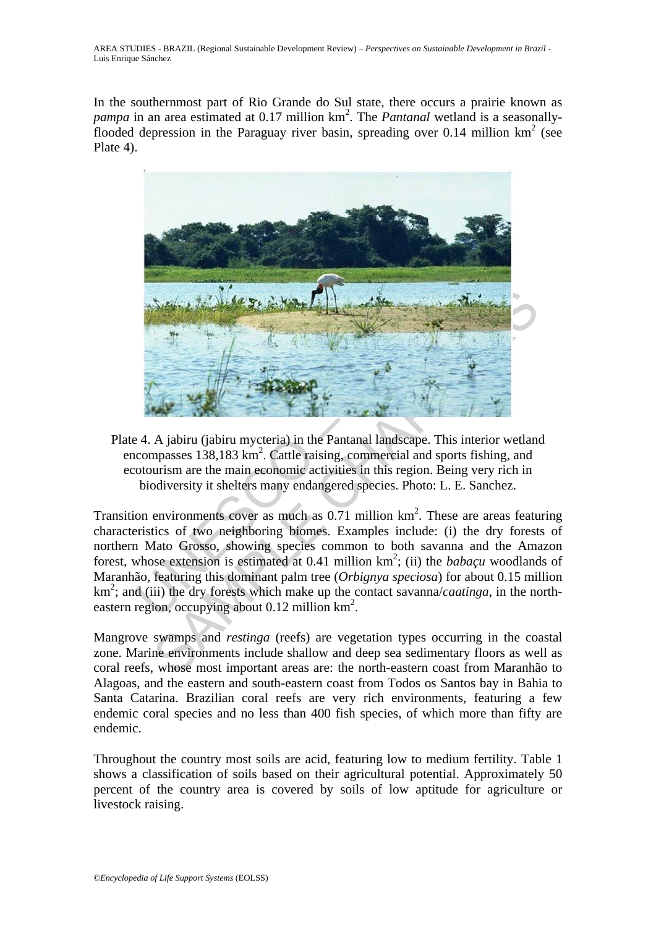In the southernmost part of Rio Grande do Sul state, there occurs a prairie known as pampa in an area estimated at 0.17 million km<sup>2</sup>. The *Pantanal* wetland is a seasonallyflooded depression in the Paraguay river basin, spreading over 0.14 million  $km^2$  (see Plate 4).



Plate 4. A jabiru (jabiru mycteria) in the Pantanal landscape. This interior wetland encompasses  $138,183 \text{ km}^2$ . Cattle raising, commercial and sports fishing, and ecotourism are the main economic activities in this region. Being very rich in biodiversity it shelters many endangered species. Photo: L. E. Sanchez.

Transition environments cover as much as  $0.71$  million  $km<sup>2</sup>$ . These are areas featuring characteristics of two neighboring biomes. Examples include: (i) the dry forests of northern Mato Grosso, showing species common to both savanna and the Amazon forest, whose extension is estimated at  $0.41$  million  $km^2$ ; (ii) the *babaçu* woodlands of Maranhão, featuring this dominant palm tree (*Orbignya speciosa*) for about 0.15 million km<sup>2</sup>; and (iii) the dry forests which make up the contact savanna/*caatinga*, in the northeastern region, occupying about  $0.12$  million  $km^2$ .

Mangrove swamps and *restinga* (reefs) are vegetation types occurring in the coastal zone. Marine environments include shallow and deep sea sedimentary floors as well as coral reefs, whose most important areas are: the north-eastern coast from Maranhão to Alagoas, and the eastern and south-eastern coast from Todos os Santos bay in Bahia to Santa Catarina. Brazilian coral reefs are very rich environments, featuring a few endemic coral species and no less than 400 fish species, of which more than fifty are endemic.

Throughout the country most soils are acid, featuring low to medium fertility. Table 1 shows a classification of soils based on their agricultural potential. Approximately 50 percent of the country area is covered by soils of low aptitude for agriculture or livestock raising.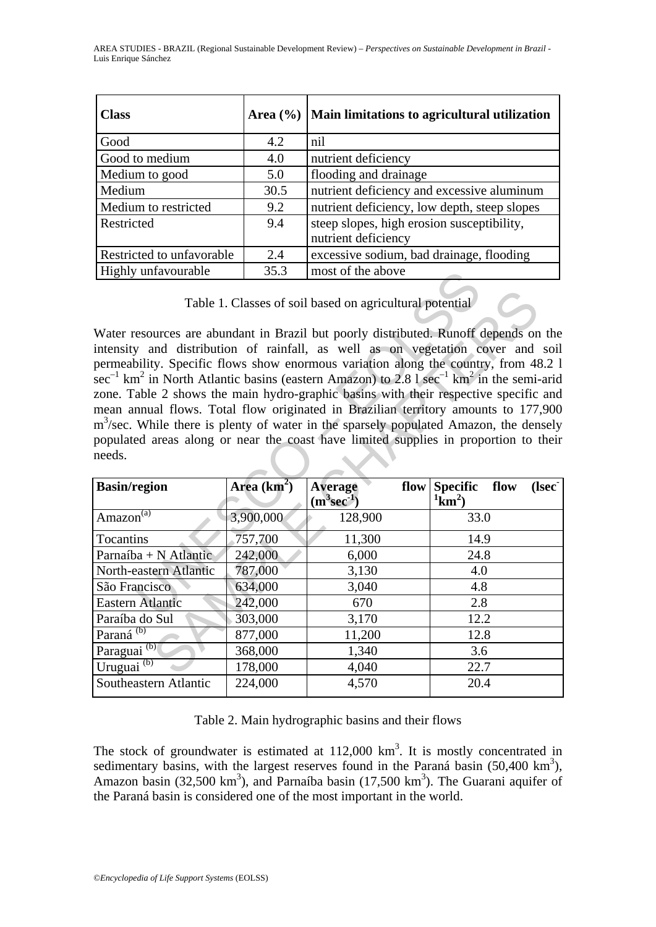| <b>Class</b>              | Area $(\% )$ | Main limitations to agricultural utilization |
|---------------------------|--------------|----------------------------------------------|
| Good                      | 4.2          | nil                                          |
| Good to medium            | 4.0          | nutrient deficiency                          |
| Medium to good            | 5.0          | flooding and drainage                        |
| Medium                    | 30.5         | nutrient deficiency and excessive aluminum   |
| Medium to restricted      | 9.2          | nutrient deficiency, low depth, steep slopes |
| Restricted                | 9.4          | steep slopes, high erosion susceptibility,   |
|                           |              | nutrient deficiency                          |
| Restricted to unfavorable | 2.4          | excessive sodium, bad drainage, flooding     |
| Highly unfavourable       | 35.3         | most of the above                            |

| Highly unfavourable                                                                                                                                                                                                                                                                                                                                                                                                                                       | 33.3          | most of the above                 |  |                                   |      |       |  |  |
|-----------------------------------------------------------------------------------------------------------------------------------------------------------------------------------------------------------------------------------------------------------------------------------------------------------------------------------------------------------------------------------------------------------------------------------------------------------|---------------|-----------------------------------|--|-----------------------------------|------|-------|--|--|
| Table 1. Classes of soil based on agricultural potential<br>Water resources are abundant in Brazil but poorly distributed. Runoff depends on the<br>intensity and distribution of rainfall, as well as on vegetation cover and soil<br>permeability. Specific flows show enormous variation along the country, from 48.2 1<br>$\sec^{-1}$ km <sup>2</sup> in North Atlantic basins (eastern Amazon) to 2.8 l $\sec^{-1}$ km <sup>2</sup> in the semi-arid |               |                                   |  |                                   |      |       |  |  |
| zone. Table 2 shows the main hydro-graphic basins with their respective specific and<br>mean annual flows. Total flow originated in Brazilian territory amounts to 177,900                                                                                                                                                                                                                                                                                |               |                                   |  |                                   |      |       |  |  |
| $m3/sec$ . While there is plenty of water in the sparsely populated Amazon, the densely                                                                                                                                                                                                                                                                                                                                                                   |               |                                   |  |                                   |      |       |  |  |
| populated areas along or near the coast have limited supplies in proportion to their<br>needs.                                                                                                                                                                                                                                                                                                                                                            |               |                                   |  |                                   |      |       |  |  |
|                                                                                                                                                                                                                                                                                                                                                                                                                                                           |               |                                   |  |                                   |      |       |  |  |
| <b>Basin/region</b>                                                                                                                                                                                                                                                                                                                                                                                                                                       | Area $(km^2)$ | <b>Average</b><br>$(m^3sec^{-1})$ |  | flow Specific<br>$\mathrm{1km^2}$ | flow | (Isec |  |  |
| Amazon <sup>(a)</sup>                                                                                                                                                                                                                                                                                                                                                                                                                                     | 3,900,000     | 128,900                           |  | 33.0                              |      |       |  |  |
| <b>Tocantins</b>                                                                                                                                                                                                                                                                                                                                                                                                                                          | 757,700       | 11,300                            |  | 14.9                              |      |       |  |  |
| Parnaíba + N Atlantic                                                                                                                                                                                                                                                                                                                                                                                                                                     | 242,000       | 6,000                             |  | 24.8                              |      |       |  |  |
| North-eastern Atlantic                                                                                                                                                                                                                                                                                                                                                                                                                                    | 787,000       | 3,130                             |  | 4.0                               |      |       |  |  |
| São Francisco                                                                                                                                                                                                                                                                                                                                                                                                                                             | 634,000       | 3,040                             |  | 4.8                               |      |       |  |  |
| <b>Eastern Atlantic</b>                                                                                                                                                                                                                                                                                                                                                                                                                                   | 242,000       | 670                               |  | 2.8                               |      |       |  |  |
| Paraíba do Sul                                                                                                                                                                                                                                                                                                                                                                                                                                            | 303,000       | 3,170                             |  | 12.2                              |      |       |  |  |
| Paraná <sup>(b)</sup>                                                                                                                                                                                                                                                                                                                                                                                                                                     | 877,000       | 11,200                            |  | 12.8                              |      |       |  |  |
| Paraguai <sup>(b)</sup>                                                                                                                                                                                                                                                                                                                                                                                                                                   | 368,000       | 1,340                             |  | 3.6                               |      |       |  |  |
| Uruguai <sup>(b)</sup>                                                                                                                                                                                                                                                                                                                                                                                                                                    | 178,000       | 4,040                             |  | 22.7                              |      |       |  |  |
| Southeastern Atlantic                                                                                                                                                                                                                                                                                                                                                                                                                                     | 224,000       | 4,570                             |  | 20.4                              |      |       |  |  |

Table 2. Main hydrographic basins and their flows

The stock of groundwater is estimated at  $112,000 \text{ km}^3$ . It is mostly concentrated in sedimentary basins, with the largest reserves found in the Paraná basin  $(50,400 \text{ km}^3)$ , Amazon basin  $(32,500 \text{ km}^3)$ , and Parnaíba basin  $(17,500 \text{ km}^3)$ . The Guarani aquifer of the Paraná basin is considered one of the most important in the world.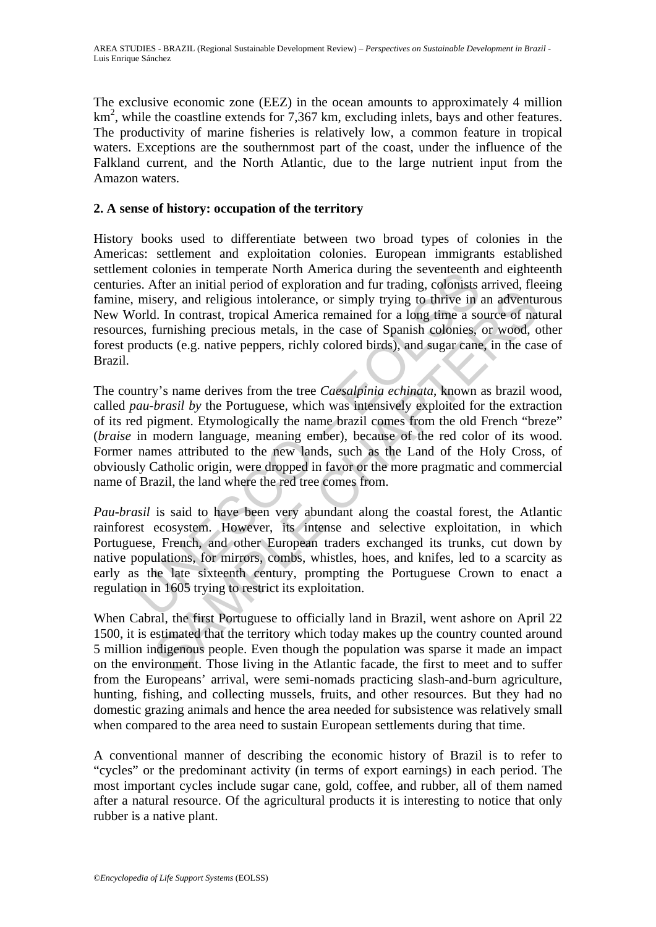The exclusive economic zone (EEZ) in the ocean amounts to approximately 4 million km<sup>2</sup>, while the coastline extends for 7,367 km, excluding inlets, bays and other features. The productivity of marine fisheries is relatively low, a common feature in tropical waters. Exceptions are the southernmost part of the coast, under the influence of the Falkland current, and the North Atlantic, due to the large nutrient input from the Amazon waters.

## **2. A sense of history: occupation of the territory**

History books used to differentiate between two broad types of colonies in the Americas: settlement and exploitation colonies. European immigrants established settlement colonies in temperate North America during the seventeenth and eighteenth centuries. After an initial period of exploration and fur trading, colonists arrived, fleeing famine, misery, and religious intolerance, or simply trying to thrive in an adventurous New World. In contrast, tropical America remained for a long time a source of natural resources, furnishing precious metals, in the case of Spanish colonies, or wood, other forest products (e.g. native peppers, richly colored birds), and sugar cane, in the case of Brazil.

ent conous in temperate is<br>our Affirm and the parally there is the seven from a function and for trading, colonists<br>misery, and religious intolerance, or simply trying to thrive in iorld. In contrast, tropical America rema now an matterior on simply trying to thrive in an adventuation<br>sery, and religious into<br>letrance, or simply trying to thrive in an adventuation.<br>In contrast, tropical America remained for a long time a source of nat<br>furnis The country's name derives from the tree *Caesalpinia echinata*, known as brazil wood, called *pau-brasil by* the Portuguese*,* which was intensively exploited for the extraction of its red pigment. Etymologically the name brazil comes from the old French "breze" (*braise* in modern language, meaning ember), because of the red color of its wood. Former names attributed to the new lands, such as the Land of the Holy Cross, of obviously Catholic origin, were dropped in favor or the more pragmatic and commercial name of Brazil, the land where the red tree comes from.

*Pau-brasil* is said to have been very abundant along the coastal forest, the Atlantic rainforest ecosystem. However, its intense and selective exploitation, in which Portuguese, French, and other European traders exchanged its trunks, cut down by native populations, for mirrors, combs, whistles, hoes, and knifes, led to a scarcity as early as the late sixteenth century, prompting the Portuguese Crown to enact a regulation in 1605 trying to restrict its exploitation.

When Cabral, the first Portuguese to officially land in Brazil, went ashore on April 22 1500, it is estimated that the territory which today makes up the country counted around 5 million indigenous people. Even though the population was sparse it made an impact on the environment. Those living in the Atlantic facade, the first to meet and to suffer from the Europeans' arrival, were semi-nomads practicing slash-and-burn agriculture, hunting, fishing, and collecting mussels, fruits, and other resources. But they had no domestic grazing animals and hence the area needed for subsistence was relatively small when compared to the area need to sustain European settlements during that time.

A conventional manner of describing the economic history of Brazil is to refer to "cycles" or the predominant activity (in terms of export earnings) in each period. The most important cycles include sugar cane, gold, coffee, and rubber, all of them named after a natural resource. Of the agricultural products it is interesting to notice that only rubber is a native plant.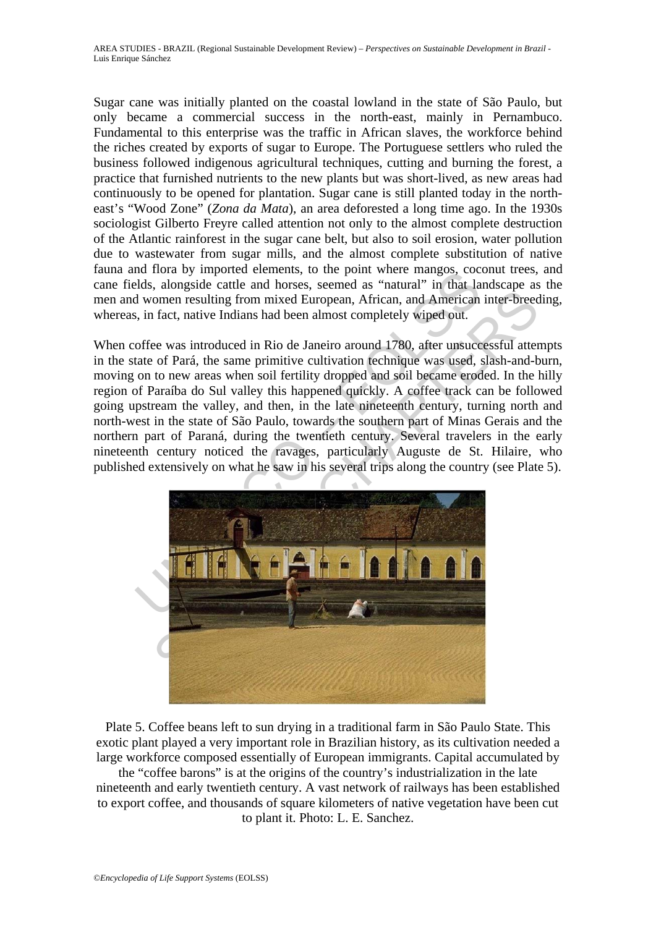Sugar cane was initially planted on the coastal lowland in the state of São Paulo, but only became a commercial success in the north-east, mainly in Pernambuco. Fundamental to this enterprise was the traffic in African slaves, the workforce behind the riches created by exports of sugar to Europe. The Portuguese settlers who ruled the business followed indigenous agricultural techniques, cutting and burning the forest, a practice that furnished nutrients to the new plants but was short-lived, as new areas had continuously to be opened for plantation. Sugar cane is still planted today in the northeast's "Wood Zone" (*Zona da Mata*), an area deforested a long time ago. In the 1930s sociologist Gilberto Freyre called attention not only to the almost complete destruction of the Atlantic rainforest in the sugar cane belt, but also to soil erosion, water pollution due to wastewater from sugar mills, and the almost complete substitution of native fauna and flora by imported elements, to the point where mangos, coconut trees, and cane fields, alongside cattle and horses, seemed as "natural" in that landscape as the men and women resulting from mixed European, African, and American inter-breeding, whereas, in fact, native Indians had been almost completely wiped out.

When coffee was introduced in Rio de Janeiro around 1780, after unsuccessful attempts in the state of Pará, the same primitive cultivation technique was used, slash-and-burn, moving on to new areas when soil fertility dropped and soil became eroded. In the hilly region of Paraíba do Sul valley this happened quickly. A coffee track can be followed going upstream the valley, and then, in the late nineteenth century, turning north and north-west in the state of São Paulo, towards the southern part of Minas Gerais and the northern part of Paraná, during the twentieth century. Several travelers in the early nineteenth century noticed the ravages, particularly Auguste de St. Hilaire, who published extensively on what he saw in his several trips along the country (see Plate 5).

![](_page_8_Picture_3.jpeg)

Plate 5. Coffee beans left to sun drying in a traditional farm in São Paulo State. This exotic plant played a very important role in Brazilian history, as its cultivation needed a large workforce composed essentially of European immigrants. Capital accumulated by

the "coffee barons" is at the origins of the country's industrialization in the late nineteenth and early twentieth century. A vast network of railways has been established to export coffee, and thousands of square kilometers of native vegetation have been cut to plant it. Photo: L. E. Sanchez.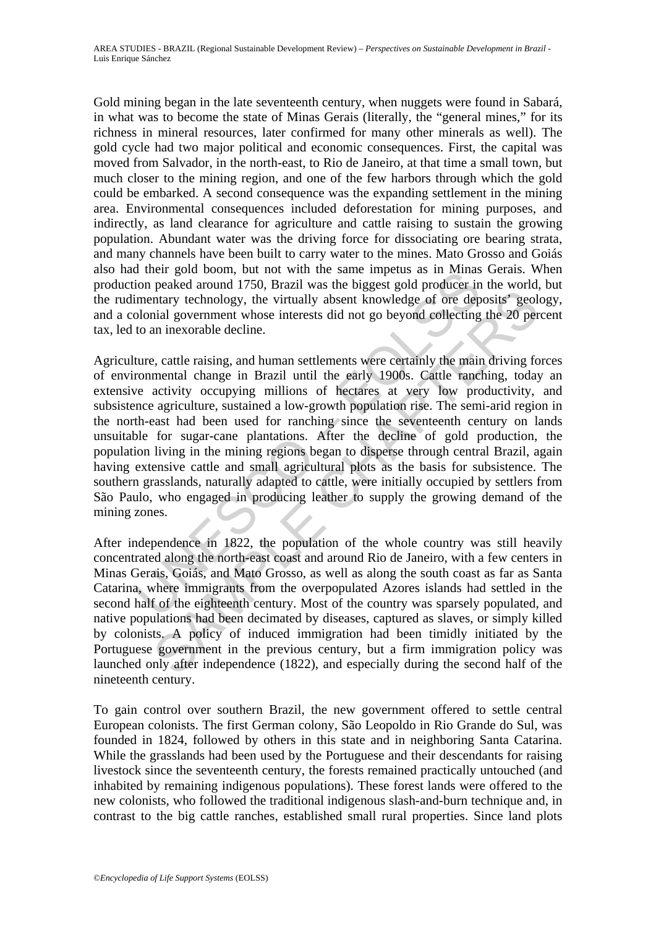Gold mining began in the late seventeenth century, when nuggets were found in Sabará, in what was to become the state of Minas Gerais (literally, the "general mines," for its richness in mineral resources, later confirmed for many other minerals as well). The gold cycle had two major political and economic consequences. First, the capital was moved from Salvador, in the north-east, to Rio de Janeiro, at that time a small town, but much closer to the mining region, and one of the few harbors through which the gold could be embarked. A second consequence was the expanding settlement in the mining area. Environmental consequences included deforestation for mining purposes, and indirectly, as land clearance for agriculture and cattle raising to sustain the growing population. Abundant water was the driving force for dissociating ore bearing strata, and many channels have been built to carry water to the mines. Mato Grosso and Goiás also had their gold boom, but not with the same impetus as in Minas Gerais. When production peaked around 1750, Brazil was the biggest gold producer in the world, but the rudimentary technology, the virtually absent knowledge of ore deposits' geology, and a colonial government whose interests did not go beyond collecting the 20 percent tax, led to an inexorable decline.

The got doom, but not with the same impetual as in whilest<br>ion preaked around 1750, Brazil was the biggest gold producer in<br>imentary technology, the virtually absent knowledge of ore dep<br>bolonial government whose interests plemate a reading absorber of the energy and the reading the set and the reading a procedure and the energy set producting the 20 per an inexorable decline.<br>
Exerce an inexorable decline.<br>
Exerce an inexorable decline.<br>
Ex Agriculture, cattle raising, and human settlements were certainly the main driving forces of environmental change in Brazil until the early 1900s. Cattle ranching, today an extensive activity occupying millions of hectares at very low productivity, and subsistence agriculture, sustained a low-growth population rise. The semi-arid region in the north-east had been used for ranching since the seventeenth century on lands unsuitable for sugar-cane plantations. After the decline of gold production, the population living in the mining regions began to disperse through central Brazil, again having extensive cattle and small agricultural plots as the basis for subsistence. The southern grasslands, naturally adapted to cattle, were initially occupied by settlers from São Paulo, who engaged in producing leather to supply the growing demand of the mining zones.

After independence in 1822, the population of the whole country was still heavily concentrated along the north-east coast and around Rio de Janeiro, with a few centers in Minas Gerais, Goiás, and Mato Grosso, as well as along the south coast as far as Santa Catarina, where immigrants from the overpopulated Azores islands had settled in the second half of the eighteenth century. Most of the country was sparsely populated, and native populations had been decimated by diseases, captured as slaves, or simply killed by colonists. A policy of induced immigration had been timidly initiated by the Portuguese government in the previous century, but a firm immigration policy was launched only after independence (1822), and especially during the second half of the nineteenth century.

To gain control over southern Brazil, the new government offered to settle central European colonists. The first German colony, São Leopoldo in Rio Grande do Sul, was founded in 1824, followed by others in this state and in neighboring Santa Catarina. While the grasslands had been used by the Portuguese and their descendants for raising livestock since the seventeenth century, the forests remained practically untouched (and inhabited by remaining indigenous populations). These forest lands were offered to the new colonists, who followed the traditional indigenous slash-and-burn technique and, in contrast to the big cattle ranches, established small rural properties. Since land plots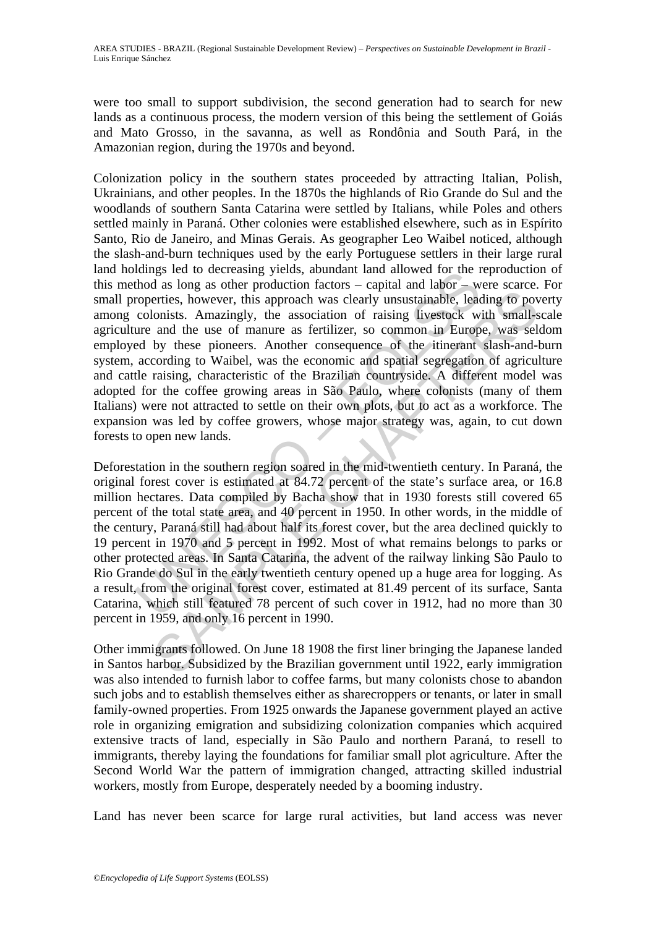were too small to support subdivision, the second generation had to search for new lands as a continuous process, the modern version of this being the settlement of Goiás and Mato Grosso, in the savanna, as well as Rondônia and South Pará, in the Amazonian region, during the 1970s and beyond.

namis ret to decreasing yierts, about and an anowel of the rhod as long as other protection factors – capital and labr – worperties, however, this approach was clearly unsustainable, lead colonists. Amazingly, the associat Colonization policy in the southern states proceeded by attracting Italian, Polish, Ukrainians, and other peoples. In the 1870s the highlands of Rio Grande do Sul and the woodlands of southern Santa Catarina were settled by Italians, while Poles and others settled mainly in Paraná. Other colonies were established elsewhere, such as in Espírito Santo, Rio de Janeiro, and Minas Gerais. As geographer Leo Waibel noticed, although the slash-and-burn techniques used by the early Portuguese settlers in their large rural land holdings led to decreasing yields, abundant land allowed for the reproduction of this method as long as other production factors – capital and labor – were scarce. For small properties, however, this approach was clearly unsustainable, leading to poverty among colonists. Amazingly, the association of raising livestock with small-scale agriculture and the use of manure as fertilizer, so common in Europe, was seldom employed by these pioneers. Another consequence of the itinerant slash-and-burn system, according to Waibel, was the economic and spatial segregation of agriculture and cattle raising, characteristic of the Brazilian countryside. A different model was adopted for the coffee growing areas in São Paulo, where colonists (many of them Italians) were not attracted to settle on their own plots, but to act as a workforce. The expansion was led by coffee growers, whose major strategy was, again, to cut down forests to open new lands.

be the use of manne as fertilizer, so common in Europa and the use of method on the use of manne a fertilizer, so common in Europe, was selearly the association of raising livestock with small-s and the use of manne as fer Deforestation in the southern region soared in the mid-twentieth century. In Paraná, the original forest cover is estimated at 84.72 percent of the state's surface area, or 16.8 million hectares. Data compiled by Bacha show that in 1930 forests still covered 65 percent of the total state area, and 40 percent in 1950. In other words, in the middle of the century, Paraná still had about half its forest cover, but the area declined quickly to 19 percent in 1970 and 5 percent in 1992. Most of what remains belongs to parks or other protected areas. In Santa Catarina, the advent of the railway linking São Paulo to Rio Grande do Sul in the early twentieth century opened up a huge area for logging. As a result, from the original forest cover, estimated at 81.49 percent of its surface, Santa Catarina, which still featured 78 percent of such cover in 1912, had no more than 30 percent in 1959, and only 16 percent in 1990.

Other immigrants followed. On June 18 1908 the first liner bringing the Japanese landed in Santos harbor. Subsidized by the Brazilian government until 1922, early immigration was also intended to furnish labor to coffee farms, but many colonists chose to abandon such jobs and to establish themselves either as sharecroppers or tenants, or later in small family-owned properties. From 1925 onwards the Japanese government played an active role in organizing emigration and subsidizing colonization companies which acquired extensive tracts of land, especially in São Paulo and northern Paraná, to resell to immigrants, thereby laying the foundations for familiar small plot agriculture. After the Second World War the pattern of immigration changed, attracting skilled industrial workers, mostly from Europe, desperately needed by a booming industry.

Land has never been scarce for large rural activities, but land access was never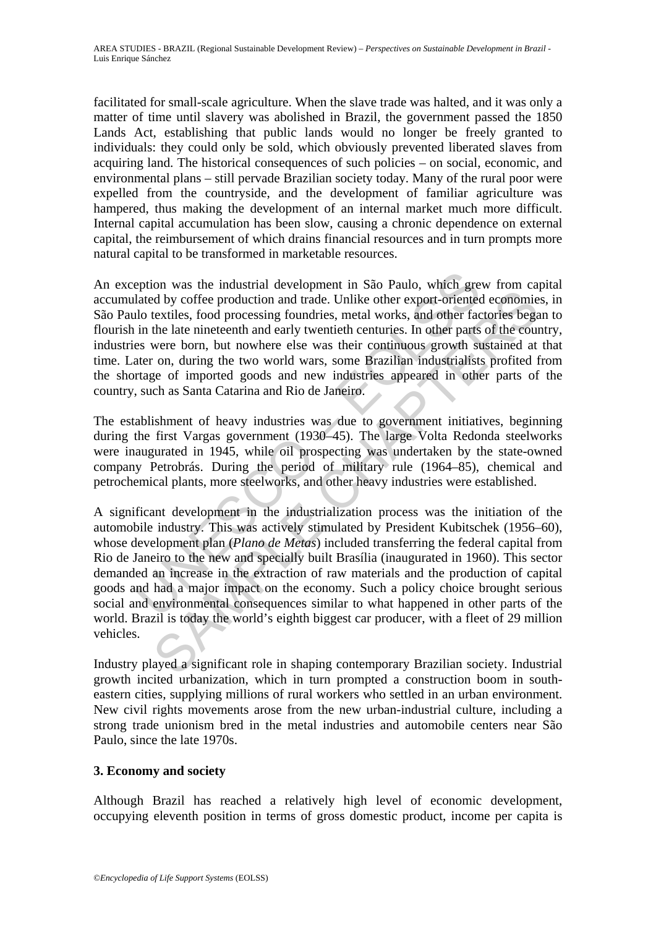facilitated for small-scale agriculture. When the slave trade was halted, and it was only a matter of time until slavery was abolished in Brazil, the government passed the 1850 Lands Act, establishing that public lands would no longer be freely granted to individuals: they could only be sold, which obviously prevented liberated slaves from acquiring land. The historical consequences of such policies – on social, economic, and environmental plans – still pervade Brazilian society today. Many of the rural poor were expelled from the countryside, and the development of familiar agriculture was hampered, thus making the development of an internal market much more difficult. Internal capital accumulation has been slow, causing a chronic dependence on external capital, the reimbursement of which drains financial resources and in turn prompts more natural capital to be transformed in marketable resources.

eption was the industrial development in São Paulo, which gre<br>lated by coffee production and trade. Unlike other export-oriented<br>lo textiles, food processing foundries, metal works, and other fac<br>in the late nineteenth and An exception was the industrial development in São Paulo, which grew from capital accumulated by coffee production and trade. Unlike other export-oriented economies, in São Paulo textiles, food processing foundries, metal works, and other factories began to flourish in the late nineteenth and early twentieth centuries. In other parts of the country, industries were born, but nowhere else was their continuous growth sustained at that time. Later on, during the two world wars, some Brazilian industrialists profited from the shortage of imported goods and new industries appeared in other parts of the country, such as Santa Catarina and Rio de Janeiro.

The establishment of heavy industries was due to government initiatives, beginning during the first Vargas government (1930–45). The large Volta Redonda steelworks were inaugurated in 1945, while oil prospecting was undertaken by the state-owned company Petrobrás. During the period of military rule (1964–85), chemical and petrochemical plants, more steelworks, and other heavy industries were established.

For whe can consider the and exist plane and track the state of the production and trade. Unlike other export-oriented economic extiles, food processing foundries, metal works, and other factories begate the late niterent A significant development in the industrialization process was the initiation of the automobile industry. This was actively stimulated by President Kubitschek (1956–60), whose development plan (*Plano de Metas*) included transferring the federal capital from Rio de Janeiro to the new and specially built Brasília (inaugurated in 1960). This sector demanded an increase in the extraction of raw materials and the production of capital goods and had a major impact on the economy. Such a policy choice brought serious social and environmental consequences similar to what happened in other parts of the world. Brazil is today the world's eighth biggest car producer, with a fleet of 29 million vehicles.

Industry played a significant role in shaping contemporary Brazilian society. Industrial growth incited urbanization, which in turn prompted a construction boom in southeastern cities, supplying millions of rural workers who settled in an urban environment. New civil rights movements arose from the new urban-industrial culture, including a strong trade unionism bred in the metal industries and automobile centers near São Paulo, since the late 1970s.

### **3. Economy and society**

Although Brazil has reached a relatively high level of economic development, occupying eleventh position in terms of gross domestic product, income per capita is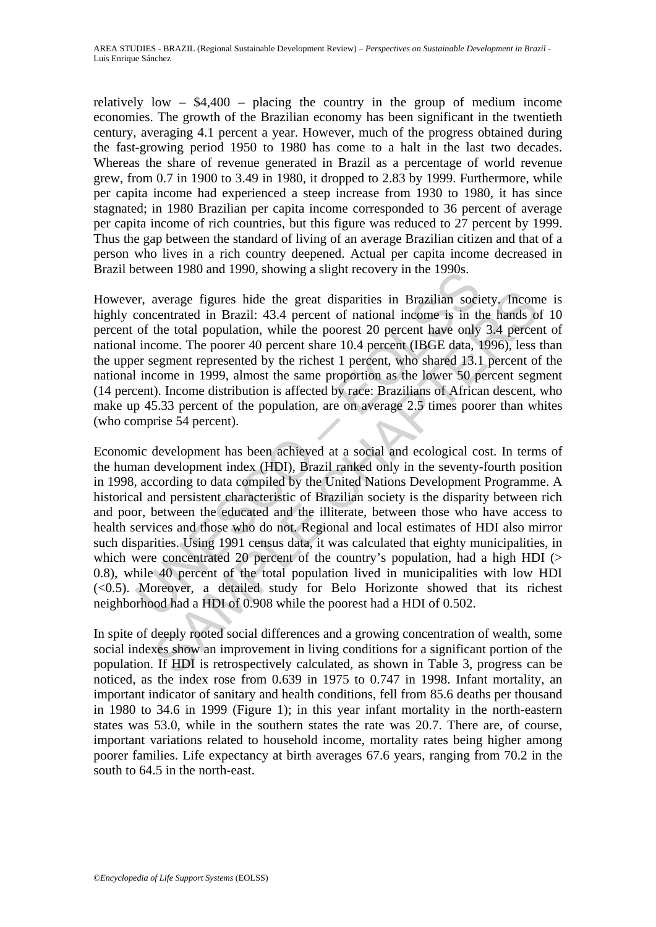relatively low  $-$  \$4,400  $-$  placing the country in the group of medium income economies. The growth of the Brazilian economy has been significant in the twentieth century, averaging 4.1 percent a year. However, much of the progress obtained during the fast-growing period 1950 to 1980 has come to a halt in the last two decades. Whereas the share of revenue generated in Brazil as a percentage of world revenue grew, from 0.7 in 1900 to 3.49 in 1980, it dropped to 2.83 by 1999. Furthermore, while per capita income had experienced a steep increase from 1930 to 1980, it has since stagnated; in 1980 Brazilian per capita income corresponded to 36 percent of average per capita income of rich countries, but this figure was reduced to 27 percent by 1999. Thus the gap between the standard of living of an average Brazilian citizen and that of a person who lives in a rich country deepened. Actual per capita income decreased in Brazil between 1980 and 1990, showing a slight recovery in the 1990s.

However, average figures hide the great disparities in Brazilian society. Income is highly concentrated in Brazil: 43.4 percent of national income is in the hands of 10 percent of the total population, while the poorest 20 percent have only 3.4 percent of national income. The poorer 40 percent share 10.4 percent (IBGE data, 1996), less than the upper segment represented by the richest 1 percent, who shared 13.1 percent of the national income in 1999, almost the same proportion as the lower 50 percent segment (14 percent). Income distribution is affected by race: Brazilians of African descent, who make up 45.33 percent of the population, are on average 2.5 times poorer than whites (who comprise 54 percent).

etween 1980 and 1990, showing a signit recovery in the 1990s.<br>
Fr. average figures hide the great disparities in Brazilian sociconcentrated in Brazil: 43.4 percent of national income is in the of the total population, whil average figures hide the great disparities in Brazilian society, Incom<br>centrated in Brazil: 43.4 percent of national income is in the hands o<br>the total population, while the poorest 20 percent have to 20 percent (IRGE data Economic development has been achieved at a social and ecological cost. In terms of the human development index (HDI), Brazil ranked only in the seventy-fourth position in 1998, according to data compiled by the United Nations Development Programme. A historical and persistent characteristic of Brazilian society is the disparity between rich and poor, between the educated and the illiterate, between those who have access to health services and those who do not. Regional and local estimates of HDI also mirror such disparities. Using 1991 census data, it was calculated that eighty municipalities, in which were concentrated 20 percent of the country's population, had a high HDI  $($ 0.8), while 40 percent of the total population lived in municipalities with low HDI  $( $0.5$ ). Moreover, a detailed study for Belo Horizonte showed that its richest$ neighborhood had a HDI of 0.908 while the poorest had a HDI of 0.502.

In spite of deeply rooted social differences and a growing concentration of wealth, some social indexes show an improvement in living conditions for a significant portion of the population. If HDI is retrospectively calculated, as shown in Table 3, progress can be noticed, as the index rose from 0.639 in 1975 to 0.747 in 1998. Infant mortality, an important indicator of sanitary and health conditions, fell from 85.6 deaths per thousand in 1980 to 34.6 in 1999 (Figure 1); in this year infant mortality in the north-eastern states was 53.0, while in the southern states the rate was 20.7. There are, of course, important variations related to household income, mortality rates being higher among poorer families. Life expectancy at birth averages 67.6 years, ranging from 70.2 in the south to 64.5 in the north-east.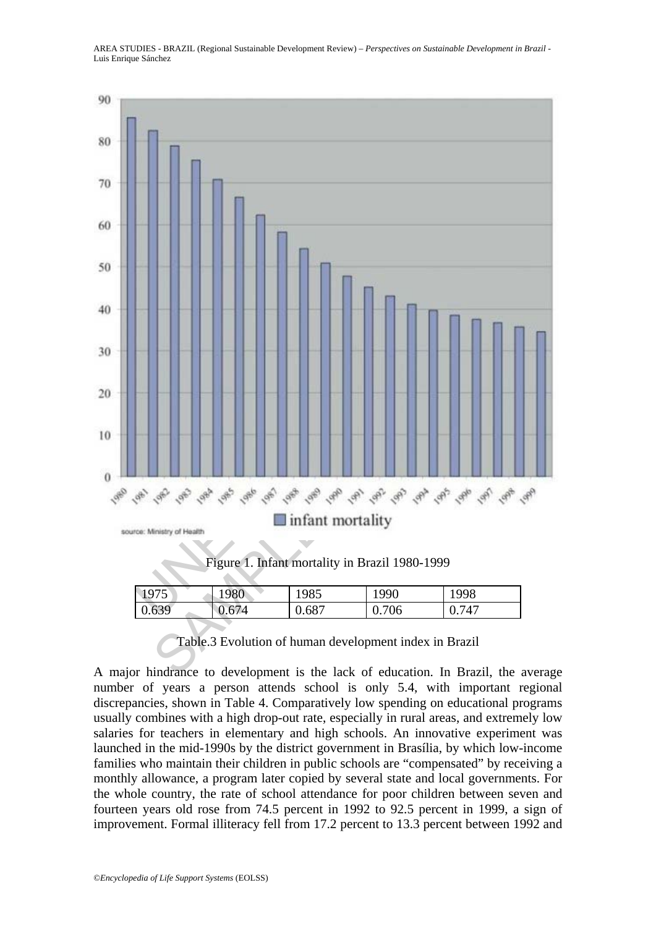![](_page_13_Figure_1.jpeg)

# Table.3 Evolution of human development index in Brazil

A major hindrance to development is the lack of education. In Brazil, the average number of years a person attends school is only 5.4, with important regional discrepancies, shown in Table 4. Comparatively low spending on educational programs usually combines with a high drop-out rate, especially in rural areas, and extremely low salaries for teachers in elementary and high schools. An innovative experiment was launched in the mid-1990s by the district government in Brasília, by which low-income families who maintain their children in public schools are "compensated" by receiving a monthly allowance, a program later copied by several state and local governments. For the whole country, the rate of school attendance for poor children between seven and fourteen years old rose from 74.5 percent in 1992 to 92.5 percent in 1999, a sign of improvement. Formal illiteracy fell from 17.2 percent to 13.3 percent between 1992 and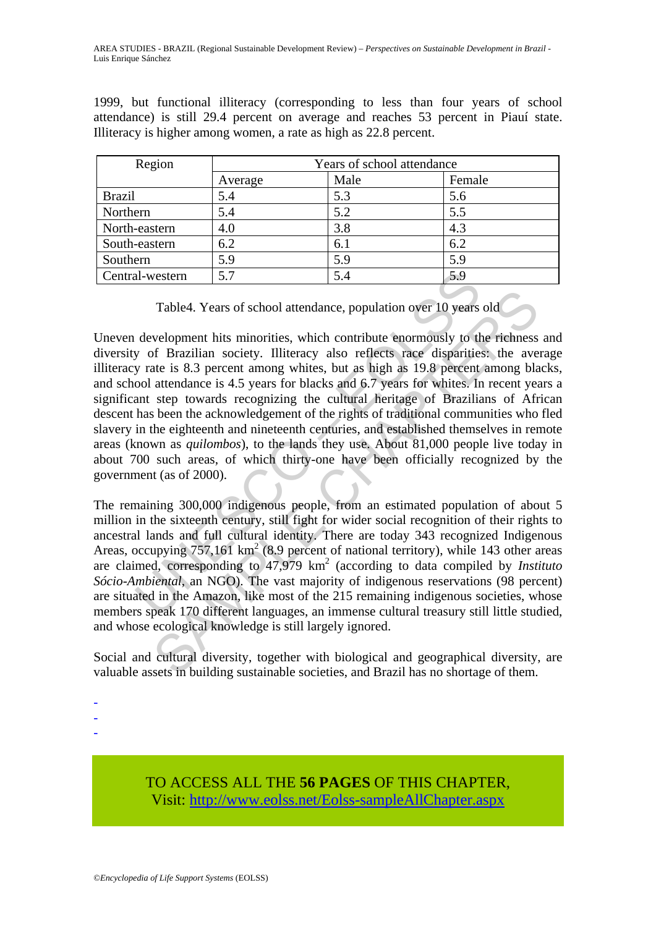1999, but functional illiteracy (corresponding to less than four years of school attendance) is still 29.4 percent on average and reaches 53 percent in Piauí state. Illiteracy is higher among women, a rate as high as 22.8 percent.

| Region          | Years of school attendance |      |        |  |  |
|-----------------|----------------------------|------|--------|--|--|
|                 | Average                    | Male | Female |  |  |
| <b>Brazil</b>   | 5.4                        | 5.3  | 5.6    |  |  |
| Northern        | 5.4                        | 5.2  | 5.5    |  |  |
| North-eastern   | 4.0                        | 3.8  | 4.3    |  |  |
| South-eastern   | 6.2                        | 6.1  | 6.2    |  |  |
| Southern        | 5.9                        | 5.9  | 5.9    |  |  |
| Central-western | 5.7                        | 5.4  | 5.9    |  |  |

Table4. Years of school attendance, population over 10 years old

al-western 5.7 5.4 5.9 5.4 5.9 5.4 5.9 5.4 5.9 5.4 5.9 7 able4. Years of school attendance, population over 10 years development hits minorities, which contribute enormously to the y of Brazilian society. Illiteracy also Table4. Years of school attendance, population over 10 years old<br>velopment hits minorities, which contribute enormously to the richness<br>of Brazilian society. Illiteracy also reflects race disparities, the ave<br>attendance i Uneven development hits minorities, which contribute enormously to the richness and diversity of Brazilian society. Illiteracy also reflects race disparities: the average illiteracy rate is 8.3 percent among whites, but as high as 19.8 percent among blacks, and school attendance is 4.5 years for blacks and 6.7 years for whites. In recent years a significant step towards recognizing the cultural heritage of Brazilians of African descent has been the acknowledgement of the rights of traditional communities who fled slavery in the eighteenth and nineteenth centuries, and established themselves in remote areas (known as *quilombos*), to the lands they use. About 81,000 people live today in about 700 such areas, of which thirty-one have been officially recognized by the government (as of 2000).

The remaining 300,000 indigenous people, from an estimated population of about 5 million in the sixteenth century, still fight for wider social recognition of their rights to ancestral lands and full cultural identity. There are today 343 recognized Indigenous Areas, occupying  $757,161 \text{ km}^2$  (8.9 percent of national territory), while 143 other areas are claimed, corresponding to 47,979 km2 (according to data compiled by *Instituto Sócio-Ambiental*, an NGO). The vast majority of indigenous reservations (98 percent) are situated in the Amazon, like most of the 215 remaining indigenous societies, whose members speak 170 different languages, an immense cultural treasury still little studied, and whose ecological knowledge is still largely ignored.

Social and cultural diversity, together with biological and geographical diversity, are valuable assets in building sustainable societies, and Brazil has no shortage of them.

-

-

-

TO ACCESS ALL THE **56 PAGES** OF THIS CHAPTER, Visit: [http://www.eolss.net/Eolss-sampleAllChapter.aspx](https://www.eolss.net/ebooklib/sc_cart.aspx?File=E1-58)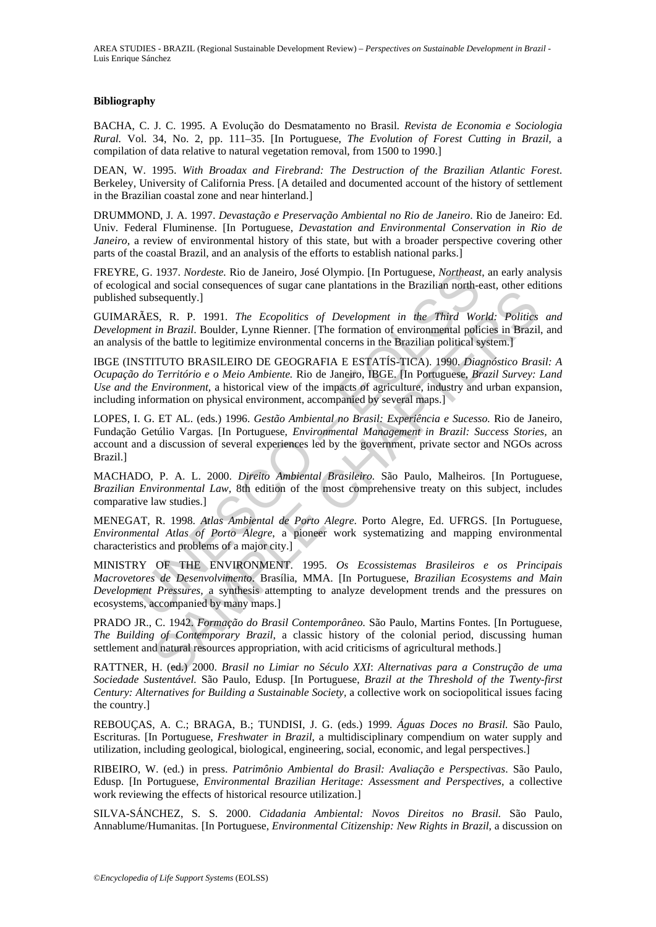#### **Bibliography**

BACHA, C. J. C. 1995. A Evolução do Desmatamento no Brasil*. Revista de Economia e Sociologia Rural.* Vol. 34, No. 2, pp. 111–35. [In Portuguese, *The Evolution of Forest Cutting in Brazil,* a compilation of data relative to natural vegetation removal, from 1500 to 1990.]

DEAN, W. 1995. *With Broadax and Firebrand: The Destruction of the Brazilian Atlantic Forest*. Berkeley, University of California Press. [A detailed and documented account of the history of settlement in the Brazilian coastal zone and near hinterland.]

DRUMMOND, J. A. 1997. *Devastação e Preservação Ambiental no Rio de Janeiro*. Rio de Janeiro: Ed. Univ. Federal Fluminense. [In Portuguese, *Devastation and Environmental Conservation in Rio de Janeiro*, a review of environmental history of this state, but with a broader perspective covering other parts of the coastal Brazil, and an analysis of the efforts to establish national parks.]

FREYRE, G. 1937. *Nordeste.* Rio de Janeiro, José Olympio. [In Portuguese, *Northeast*, an early analysis of ecological and social consequences of sugar cane plantations in the Brazilian north-east, other editions published subsequently.]

GUIMARÃES, R. P. 1991. *The Ecopolitics of Development in the Third World: Politics and Development in Brazil*. Boulder, Lynne Rienner. [The formation of environmental policies in Brazil, and an analysis of the battle to legitimize environmental concerns in the Brazilian political system.]

*d, G. 1937. Nordeste.* Rio de Janeiro, José Olympio. [In Portuguese, *Northeast*<br>cical and social consequences of sugar cane plantations in the Brazilian north-e<br>states and social consequences of sugar cane plantations in Example the Exponential of Branchons in the Enfammation case, seeding in the consequently.]<br>
SS, R. P. 1991. The Ecopolitics of Development in the Third World: Politics<br>
in Brazilia Bolder, Lynne Rienner. [The formation o IBGE (INSTITUTO BRASILEIRO DE GEOGRAFIA E ESTATÍS-TICA). 1990. *Diagnóstico Brasil: A Ocupação do Território e o Meio Ambiente.* Rio de Janeiro, IBGE. [In Portuguese, *Brazil Survey: Land Use and the Environment,* a historical view of the impacts of agriculture, industry and urban expansion, including information on physical environment, accompanied by several maps.]

LOPES, I. G. ET AL. (eds.) 1996. *Gestão Ambiental no Brasil: Experiência e Sucesso.* Rio de Janeiro, Fundação Getúlio Vargas. [In Portuguese, *Environmental Management in Brazil: Success Stories,* an account and a discussion of several experiences led by the government, private sector and NGOs across Brazil.]

MACHADO, P. A. L. 2000. *Direito Ambiental Brasileiro.* São Paulo, Malheiros. [In Portuguese, *Brazilian Environmental Law,* 8th edition of the most comprehensive treaty on this subject, includes comparative law studies.]

MENEGAT, R. 1998. *Atlas Ambiental de Porto Alegre*. Porto Alegre, Ed. UFRGS. [In Portuguese, *Environmental Atlas of Porto Alegre*, a pioneer work systematizing and mapping environmental characteristics and problems of a major city.]

MINISTRY OF THE ENVIRONMENT. 1995. *Os Ecossistemas Brasileiros e os Principais Macrovetores de Desenvolvimento*. Brasília, MMA. [In Portuguese, *Brazilian Ecosystems and Main Development Pressures,* a synthesis attempting to analyze development trends and the pressures on ecosystems, accompanied by many maps.]

PRADO JR., C. 1942. *Formação do Brasil Contemporâneo.* São Paulo, Martins Fontes. [In Portuguese, *The Building of Contemporary Brazil*, a classic history of the colonial period, discussing human settlement and natural resources appropriation, with acid criticisms of agricultural methods.]

RATTNER, H. (ed.) 2000. *Brasil no Limiar no Século XXI*: *Alternativas para a Construção de uma Sociedade Sustentável.* São Paulo, Edusp. [In Portuguese, *Brazil at the Threshold of the Twenty-first Century: Alternatives for Building a Sustainable Society,* a collective work on sociopolitical issues facing the country.]

REBOUÇAS, A. C.; BRAGA, B.; TUNDISI, J. G. (eds.) 1999. *Águas Doces no Brasil.* São Paulo, Escrituras. [In Portuguese, *Freshwater in Brazil*, a multidisciplinary compendium on water supply and utilization, including geological, biological, engineering, social, economic, and legal perspectives.]

RIBEIRO, W. (ed.) in press. *Patrimônio Ambiental do Brasil: Avaliação e Perspectivas*. São Paulo, Edusp. [In Portuguese, *Environmental Brazilian Heritage: Assessment and Perspectives,* a collective work reviewing the effects of historical resource utilization.]

SILVA-SÁNCHEZ, S. S. 2000. *Cidadania Ambiental: Novos Direitos no Brasil.* São Paulo, Annablume/Humanitas. [In Portuguese, *Environmental Citizenship: New Rights in Brazil*, a discussion on